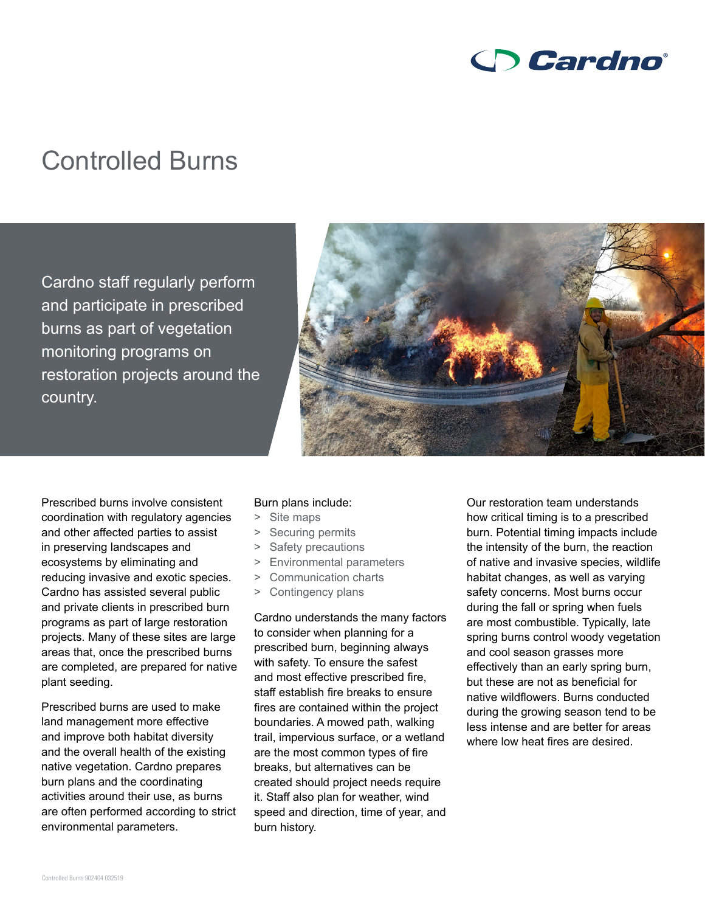

## Controlled Burns

Cardno staff regularly perform and participate in prescribed burns as part of vegetation monitoring programs on restoration projects around the country.



Prescribed burns involve consistent coordination with regulatory agencies and other affected parties to assist in preserving landscapes and ecosystems by eliminating and reducing invasive and exotic species. Cardno has assisted several public and private clients in prescribed burn programs as part of large restoration projects. Many of these sites are large areas that, once the prescribed burns are completed, are prepared for native plant seeding.

Prescribed burns are used to make land management more effective and improve both habitat diversity and the overall health of the existing native vegetation. Cardno prepares burn plans and the coordinating activities around their use, as burns are often performed according to strict environmental parameters.

## Burn plans include:

- > Site maps
- > Securing permits
- > Safety precautions
- > Environmental parameters
- > Communication charts
- > Contingency plans

Cardno understands the many factors to consider when planning for a prescribed burn, beginning always with safety. To ensure the safest and most effective prescribed fire, staff establish fire breaks to ensure fires are contained within the project boundaries. A mowed path, walking trail, impervious surface, or a wetland are the most common types of fire breaks, but alternatives can be created should project needs require it. Staff also plan for weather, wind speed and direction, time of year, and burn history.

Our restoration team understands how critical timing is to a prescribed burn. Potential timing impacts include the intensity of the burn, the reaction of native and invasive species, wildlife habitat changes, as well as varying safety concerns. Most burns occur during the fall or spring when fuels are most combustible. Typically, late spring burns control woody vegetation and cool season grasses more effectively than an early spring burn, but these are not as beneficial for native wildflowers. Burns conducted during the growing season tend to be less intense and are better for areas where low heat fires are desired.